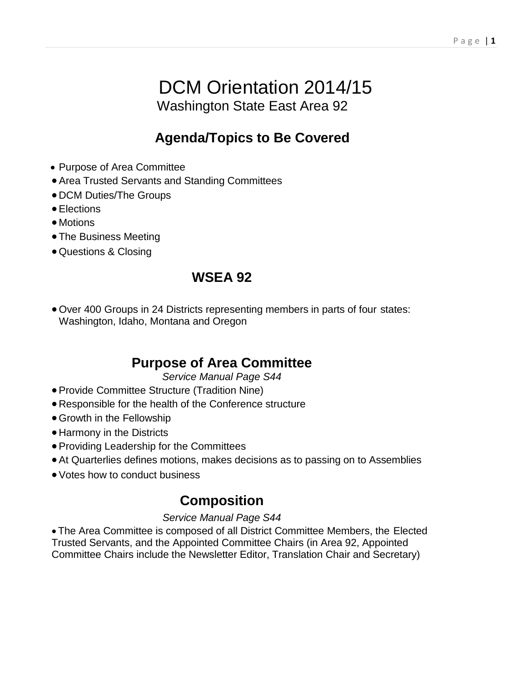# DCM Orientation 2014/15 Washington State East Area 92

## **Agenda/Topics to Be Covered**

- Purpose of Area Committee
- •Area Trusted Servants and Standing Committees
- DCM Duties/The Groups
- •Elections
- Motions
- The Business Meeting
- Questions & Closing

## **WSEA 92**

• Over 400 Groups in 24 Districts representing members in parts of four states: Washington, Idaho, Montana and Oregon

## **Purpose of Area Committee**

*Service Manual Page S44*

- •Provide Committee Structure (Tradition Nine)
- Responsible for the health of the Conference structure
- Growth in the Fellowship
- Harmony in the Districts
- •Providing Leadership for the Committees
- •At Quarterlies defines motions, makes decisions as to passing on to Assemblies
- Votes how to conduct business

## **Composition**

#### *Service Manual Page S44*

• The Area Committee is composed of all District Committee Members, the Elected Trusted Servants, and the Appointed Committee Chairs (in Area 92, Appointed Committee Chairs include the Newsletter Editor, Translation Chair and Secretary)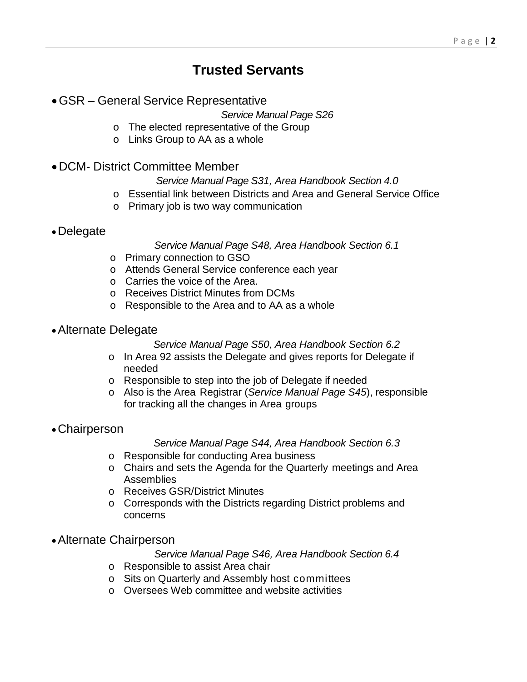## **Trusted Servants**

#### •GSR – General Service Representative

*Service Manual Page S26*

- o The elected representative of the Group
- o Links Group to AA as a whole

#### •DCM- District Committee Member

#### *Service Manual Page S31, Area Handbook Section 4.0*

- o Essential link between Districts and Area and General Service Office
- o Primary job is two way communication
- •Delegate

#### *Service Manual Page S48, Area Handbook Section 6.1*

- o Primary connection to GSO
- o Attends General Service conference each year
- o Carries the voice of the Area.
- o Receives District Minutes from DCMs
- o Responsible to the Area and to AA as a whole
- •Alternate Delegate

#### *Service Manual Page S50, Area Handbook Section 6.2*

- o In Area 92 assists the Delegate and gives reports for Delegate if needed
- o Responsible to step into the job of Delegate if needed
- o Also is the Area Registrar (*Service Manual Page S45*), responsible for tracking all the changes in Area groups
- •Chairperson

#### *Service Manual Page S44, Area Handbook Section 6.3*

- o Responsible for conducting Area business
- o Chairs and sets the Agenda for the Quarterly meetings and Area **Assemblies**
- o Receives GSR/District Minutes
- o Corresponds with the Districts regarding District problems and concerns
- •Alternate Chairperson

#### *Service Manual Page S46, Area Handbook Section 6.4*

- o Responsible to assist Area chair
- o Sits on Quarterly and Assembly host committees
- o Oversees Web committee and website activities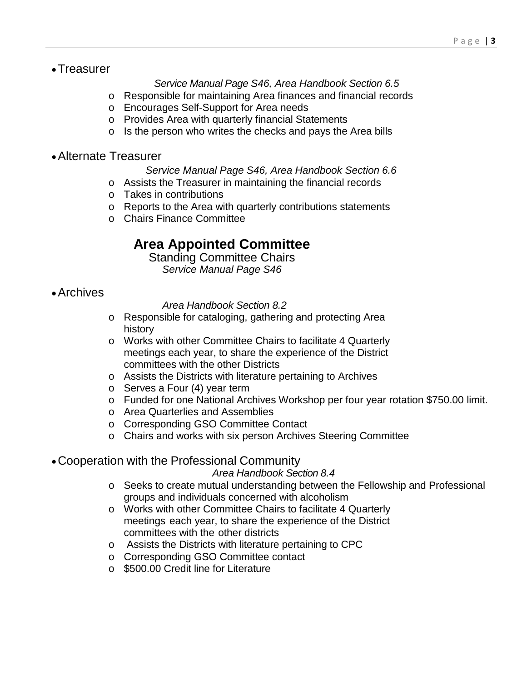•Treasurer

#### *Service Manual Page S46, Area Handbook Section 6.5*

- o Responsible for maintaining Area finances and financial records
- o Encourages Self-Support for Area needs
- o Provides Area with quarterly financial Statements
- o Is the person who writes the checks and pays the Area bills
- •Alternate Treasurer

*Service Manual Page S46, Area Handbook Section 6.6*

- o Assists the Treasurer in maintaining the financial records
- o Takes in contributions
- o Reports to the Area with quarterly contributions statements
- o Chairs Finance Committee

## **Area Appointed Committee**

Standing Committee Chairs *Service Manual Page S46*

•Archives

*Area Handbook Section 8.2*

- o Responsible for cataloging, gathering and protecting Area history
- o Works with other Committee Chairs to facilitate 4 Quarterly meetings each year, to share the experience of the District committees with the other Districts
- o Assists the Districts with literature pertaining to Archives
- o Serves a Four (4) year term
- o Funded for one National Archives Workshop per four year rotation \$750.00 limit.
- o Area Quarterlies and Assemblies
- o Corresponding GSO Committee Contact
- o Chairs and works with six person Archives Steering Committee

#### •Cooperation with the Professional Community

*Area Handbook Section 8.4*

- o Seeks to create mutual understanding between the Fellowship and Professional groups and individuals concerned with alcoholism
- o Works with other Committee Chairs to facilitate 4 Quarterly meetings each year, to share the experience of the District committees with the other districts
- o Assists the Districts with literature pertaining to CPC
- o Corresponding GSO Committee contact
- o \$500.00 Credit line for Literature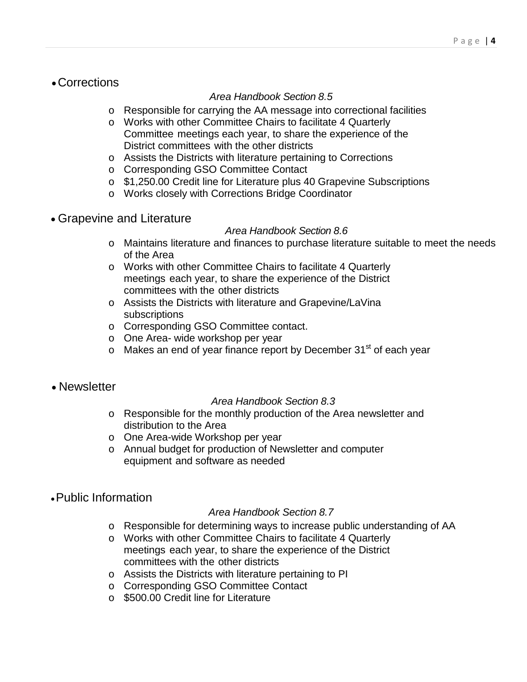•Corrections

#### *Area Handbook Section 8.5*

- o Responsible for carrying the AA message into correctional facilities
- o Works with other Committee Chairs to facilitate 4 Quarterly Committee meetings each year, to share the experience of the District committees with the other districts
- o Assists the Districts with literature pertaining to Corrections
- o Corresponding GSO Committee Contact
- o \$1,250.00 Credit line for Literature plus 40 Grapevine Subscriptions
- o Works closely with Corrections Bridge Coordinator
- Grapevine and Literature

#### *Area Handbook Section 8.6*

- o Maintains literature and finances to purchase literature suitable to meet the needs of the Area
- o Works with other Committee Chairs to facilitate 4 Quarterly meetings each year, to share the experience of the District committees with the other districts
- o Assists the Districts with literature and Grapevine/LaVina subscriptions
- o Corresponding GSO Committee contact.
- o One Area- wide workshop per year
- $\circ$  Makes an end of year finance report by December 31<sup>st</sup> of each year
- Newsletter

#### *Area Handbook Section 8.3*

- o Responsible for the monthly production of the Area newsletter and distribution to the Area
- o One Area-wide Workshop per year
- o Annual budget for production of Newsletter and computer equipment and software as needed
- •Public Information

#### *Area Handbook Section 8.7*

- o Responsible for determining ways to increase public understanding of AA
- o Works with other Committee Chairs to facilitate 4 Quarterly meetings each year, to share the experience of the District committees with the other districts
- o Assists the Districts with literature pertaining to PI
- o Corresponding GSO Committee Contact
- o \$500.00 Credit line for Literature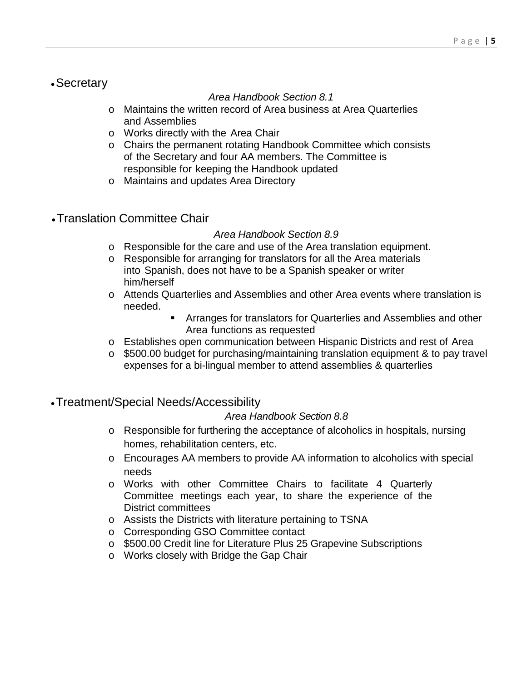#### •Secretary

#### *Area Handbook Section 8.1*

- o Maintains the written record of Area business at Area Quarterlies and Assemblies
- o Works directly with the Area Chair
- o Chairs the permanent rotating Handbook Committee which consists of the Secretary and four AA members. The Committee is responsible for keeping the Handbook updated
- o Maintains and updates Area Directory
- •Translation Committee Chair

#### *Area Handbook Section 8.9*

- o Responsible for the care and use of the Area translation equipment.
- o Responsible for arranging for translators for all the Area materials into Spanish, does not have to be a Spanish speaker or writer him/herself
- o Attends Quarterlies and Assemblies and other Area events where translation is needed.
	- Arranges for translators for Quarterlies and Assemblies and other Area functions as requested
- o Establishes open communication between Hispanic Districts and rest of Area
- o \$500.00 budget for purchasing/maintaining translation equipment & to pay travel expenses for a bi-lingual member to attend assemblies & quarterlies
- •Treatment/Special Needs/Accessibility

#### *Area Handbook Section 8.8*

- o Responsible for furthering the acceptance of alcoholics in hospitals, nursing homes, rehabilitation centers, etc.
- o Encourages AA members to provide AA information to alcoholics with special needs
- o Works with other Committee Chairs to facilitate 4 Quarterly Committee meetings each year, to share the experience of the District committees
- o Assists the Districts with literature pertaining to TSNA
- o Corresponding GSO Committee contact
- o \$500.00 Credit line for Literature Plus 25 Grapevine Subscriptions
- o Works closely with Bridge the Gap Chair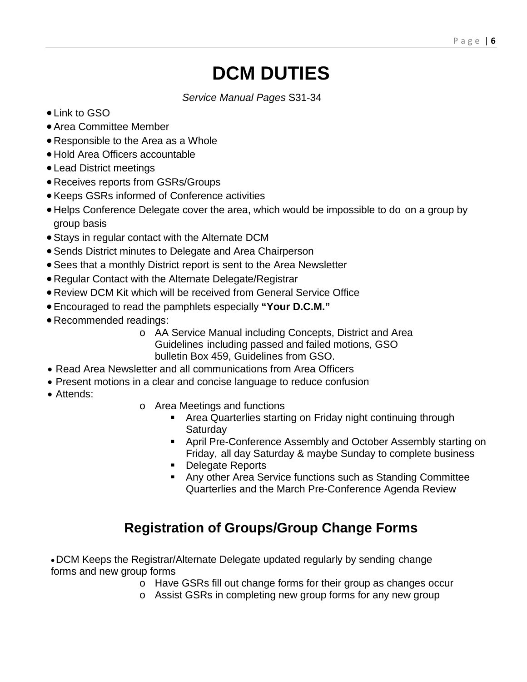# **DCM DUTIES**

*Service Manual Pages* S31-34

- Link to GSO
- •Area Committee Member
- Responsible to the Area as a Whole
- Hold Area Officers accountable
- Lead District meetings
- Receives reports from GSRs/Groups
- •Keeps GSRs informed of Conference activities
- Helps Conference Delegate cover the area, which would be impossible to do on a group by group basis
- •Stays in regular contact with the Alternate DCM
- •Sends District minutes to Delegate and Area Chairperson
- •Sees that a monthly District report is sent to the Area Newsletter
- Regular Contact with the Alternate Delegate/Registrar
- Review DCM Kit which will be received from General Service Office
- •Encouraged to read the pamphlets especially **"Your D.C.M."**
- Recommended readings:
	- o AA Service Manual including Concepts, District and Area Guidelines including passed and failed motions, GSO bulletin Box 459, Guidelines from GSO.
- Read Area Newsletter and all communications from Area Officers
- Present motions in a clear and concise language to reduce confusion
- Attends:
- o Area Meetings and functions
	- Area Quarterlies starting on Friday night continuing through Saturday
	- **April Pre-Conference Assembly and October Assembly starting on** Friday, all day Saturday & maybe Sunday to complete business
	- **Delegate Reports**
	- Any other Area Service functions such as Standing Committee Quarterlies and the March Pre-Conference Agenda Review

# **Registration of Groups/Group Change Forms**

•DCM Keeps the Registrar/Alternate Delegate updated regularly by sending change forms and new group forms

- o Have GSRs fill out change forms for their group as changes occur
- o Assist GSRs in completing new group forms for any new group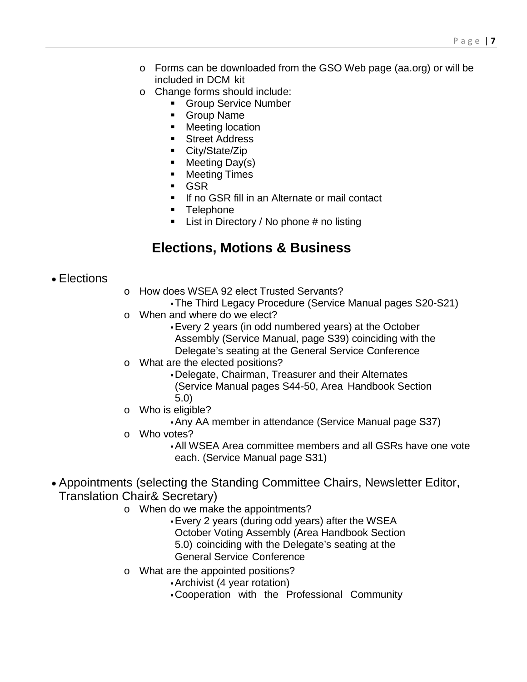- o Forms can be downloaded from the GSO Web page (aa.org) or will be included in DCM kit
- o Change forms should include:
	- **Group Service Number**
	- **Group Name**
	- **Meeting location**
	- Street Address
	- City/State/Zip
	- Meeting Day(s)
	- Meeting Times
	- GSR
	- If no GSR fill in an Alternate or mail contact
	- **Telephone**
	- $\blacksquare$  List in Directory / No phone # no listing

### **Elections, Motions & Business**

#### • Elections

- o How does WSEA 92 elect Trusted Servants?
	- The Third Legacy Procedure (Service Manual pages S20-S21)
- o When and where do we elect?
	- Every 2 years (in odd numbered years) at the October Assembly (Service Manual, page S39) coinciding with the Delegate's seating at the General Service Conference
- o What are the elected positions?
	- Delegate, Chairman, Treasurer and their Alternates (Service Manual pages S44-50, Area Handbook Section 5.0)
- o Who is eligible?
	- Any AA member in attendance (Service Manual page S37)
- o Who votes?
	- All WSEA Area committee members and all GSRs have one vote each. (Service Manual page S31)
- Appointments (selecting the Standing Committee Chairs, Newsletter Editor, Translation Chair& Secretary)
	- o When do we make the appointments?
		- Every 2 years (during odd years) after the WSEA October Voting Assembly (Area Handbook Section 5.0) coinciding with the Delegate's seating at the General Service Conference
	- o What are the appointed positions?
		- Archivist (4 year rotation)
		- Cooperation with the Professional Community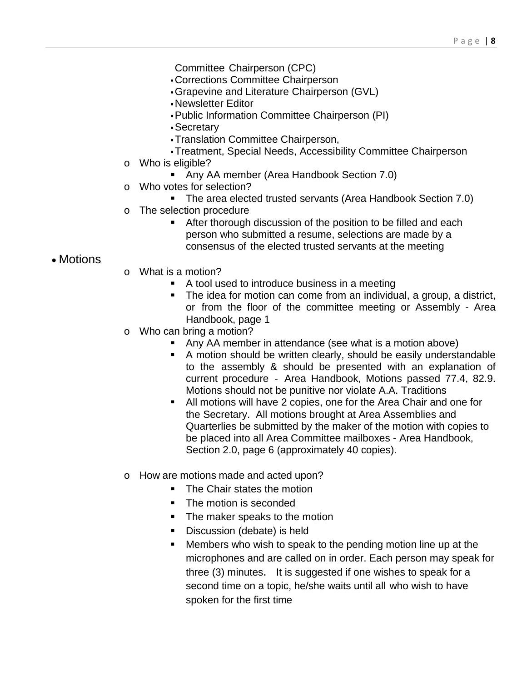- Committee Chairperson (CPC)
- Corrections Committee Chairperson
- Grapevine and Literature Chairperson (GVL)
- Newsletter Editor
- Public Information Committee Chairperson (PI)
- Secretary
- Translation Committee Chairperson,
- Treatment, Special Needs, Accessibility Committee Chairperson
- o Who is eligible?
	- Any AA member (Area Handbook Section 7.0)
- o Who votes for selection?
	- The area elected trusted servants (Area Handbook Section 7.0)
- o The selection procedure
	- **After thorough discussion of the position to be filled and each** person who submitted a resume, selections are made by a consensus of the elected trusted servants at the meeting

#### • Motions

- o What is a motion?
	- A tool used to introduce business in a meeting
	- The idea for motion can come from an individual, a group, a district, or from the floor of the committee meeting or Assembly - Area Handbook, page 1
- o Who can bring a motion?
	- Any AA member in attendance (see what is a motion above)
	- A motion should be written clearly, should be easily understandable to the assembly & should be presented with an explanation of current procedure - Area Handbook, Motions passed 77.4, 82.9. Motions should not be punitive nor violate A.A. Traditions
	- All motions will have 2 copies, one for the Area Chair and one for the Secretary. All motions brought at Area Assemblies and Quarterlies be submitted by the maker of the motion with copies to be placed into all Area Committee mailboxes - Area Handbook, Section 2.0, page 6 (approximately 40 copies).
- o How are motions made and acted upon?
	- The Chair states the motion
	- The motion is seconded
	- The maker speaks to the motion
	- **Discussion (debate) is held**
	- Members who wish to speak to the pending motion line up at the microphones and are called on in order. Each person may speak for three (3) minutes. It is suggested if one wishes to speak for a second time on a topic, he/she waits until all who wish to have spoken for the first time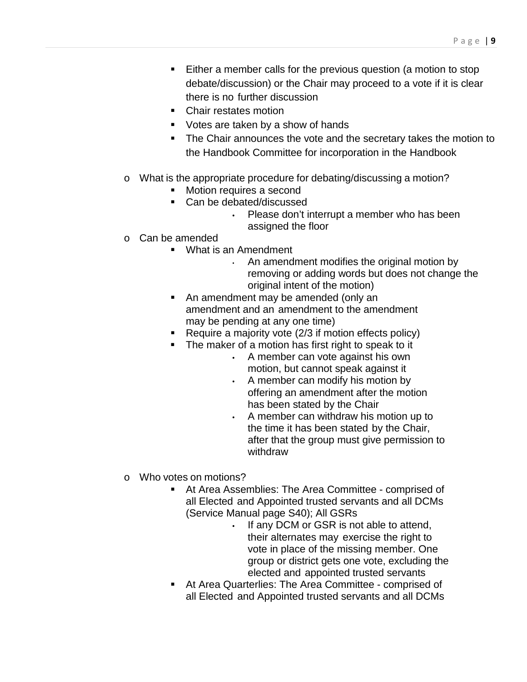- Either a member calls for the previous question (a motion to stop debate/discussion) or the Chair may proceed to a vote if it is clear there is no further discussion
- Chair restates motion
- Votes are taken by a show of hands
- **The Chair announces the vote and the secretary takes the motion to** the Handbook Committee for incorporation in the Handbook
- o What is the appropriate procedure for debating/discussing a motion?
	- Motion requires a second
	- Can be debated/discussed
		- Please don't interrupt a member who has been assigned the floor
- o Can be amended
	- What is an Amendment
		- An amendment modifies the original motion by removing or adding words but does not change the original intent of the motion)
	- An amendment may be amended (only an amendment and an amendment to the amendment may be pending at any one time)
	- Require a majority vote  $(2/3)$  if motion effects policy)
	- The maker of a motion has first right to speak to it
		- A member can vote against his own motion, but cannot speak against it
		- A member can modify his motion by offering an amendment after the motion has been stated by the Chair
		- A member can withdraw his motion up to the time it has been stated by the Chair, after that the group must give permission to withdraw
- o Who votes on motions?
	- At Area Assemblies: The Area Committee comprised of all Elected and Appointed trusted servants and all DCMs (Service Manual page S40); All GSRs
		- If any DCM or GSR is not able to attend, their alternates may exercise the right to vote in place of the missing member. One group or district gets one vote, excluding the elected and appointed trusted servants
	- At Area Quarterlies: The Area Committee comprised of all Elected and Appointed trusted servants and all DCMs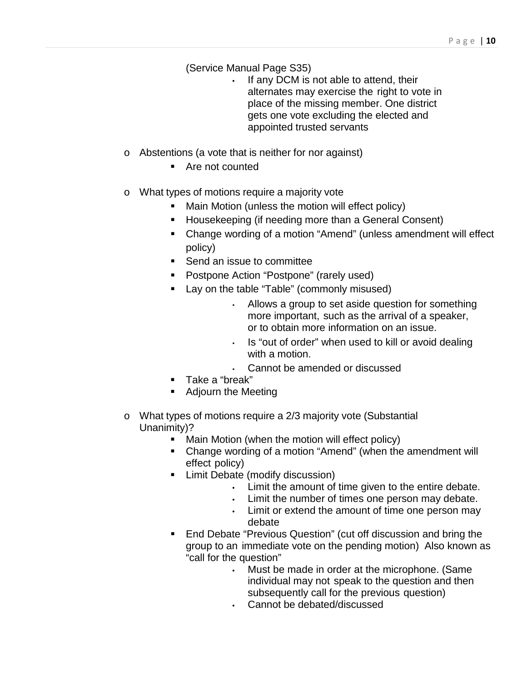(Service Manual Page S35)

- If any DCM is not able to attend, their alternates may exercise the right to vote in place of the missing member. One district gets one vote excluding the elected and appointed trusted servants
- o Abstentions (a vote that is neither for nor against)
	- Are not counted
- o What types of motions require a majority vote
	- Main Motion (unless the motion will effect policy)
	- Housekeeping (if needing more than a General Consent)
	- Change wording of a motion "Amend" (unless amendment will effect policy)
	- Send an issue to committee
	- **•** Postpone Action "Postpone" (rarely used)
	- **Lay on the table "Table" (commonly misused)** 
		- Allows a group to set aside question for something more important, such as the arrival of a speaker, or to obtain more information on an issue.
		- Is "out of order" when used to kill or avoid dealing with a motion.
		- Cannot be amended or discussed
	- Take a "break"
	- **Adjourn the Meeting**
- o What types of motions require a 2/3 majority vote (Substantial Unanimity)?
	- **Main Motion (when the motion will effect policy)**
	- Change wording of a motion "Amend" (when the amendment will effect policy)
	- **E** Limit Debate (modify discussion)
		- Limit the amount of time given to the entire debate.
		- Limit the number of times one person may debate.
		- Limit or extend the amount of time one person may debate
	- End Debate "Previous Question" (cut off discussion and bring the group to an immediate vote on the pending motion) Also known as "call for the question"
		- Must be made in order at the microphone. (Same individual may not speak to the question and then subsequently call for the previous question)
		- Cannot be debated/discussed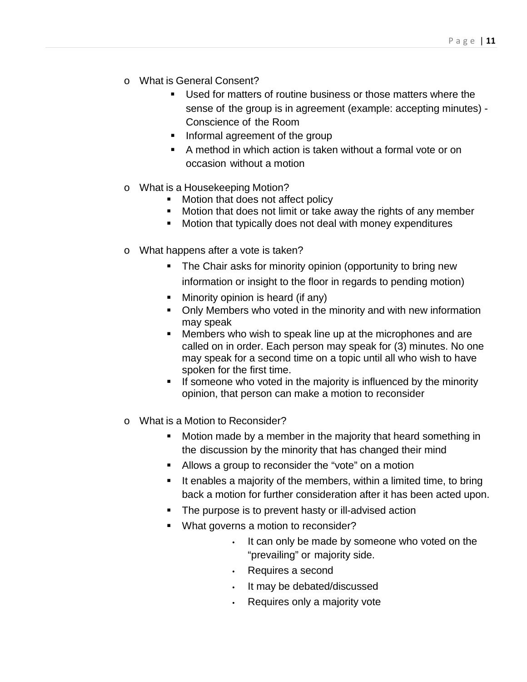- o What is General Consent?
	- Used for matters of routine business or those matters where the sense of the group is in agreement (example: accepting minutes) - Conscience of the Room
	- **If Informal agreement of the group**
	- A method in which action is taken without a formal vote or on occasion without a motion
- o What is a Housekeeping Motion?
	- Motion that does not affect policy
	- Motion that does not limit or take away the rights of any member
	- Motion that typically does not deal with money expenditures
- o What happens after a vote is taken?
	- The Chair asks for minority opinion (opportunity to bring new
		- information or insight to the floor in regards to pending motion)
	- Minority opinion is heard (if any)
	- Only Members who voted in the minority and with new information may speak
	- **Members who wish to speak line up at the microphones and are** called on in order. Each person may speak for (3) minutes. No one may speak for a second time on a topic until all who wish to have spoken for the first time.
	- If someone who voted in the majority is influenced by the minority opinion, that person can make a motion to reconsider
- o What is a Motion to Reconsider?
	- Motion made by a member in the majority that heard something in the discussion by the minority that has changed their mind
	- Allows a group to reconsider the "vote" on a motion
	- $\blacksquare$  It enables a majority of the members, within a limited time, to bring back a motion for further consideration after it has been acted upon.
	- The purpose is to prevent hasty or ill-advised action
	- What governs a motion to reconsider?
		- It can only be made by someone who voted on the "prevailing" or majority side.
		- Requires a second
		- It may be debated/discussed
		- Requires only a majority vote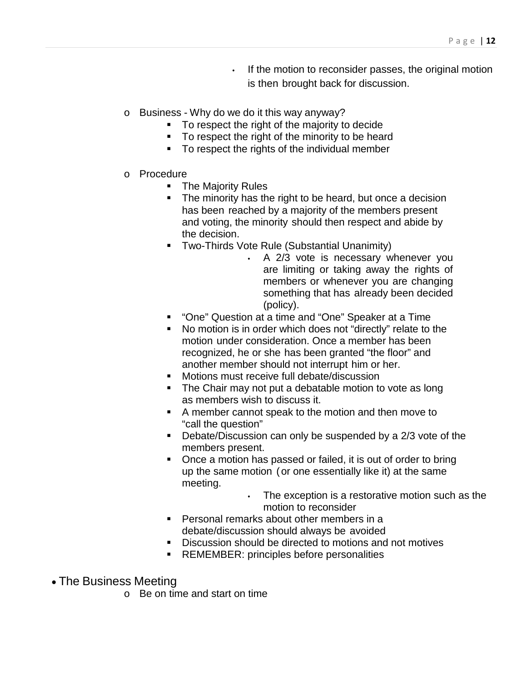- If the motion to reconsider passes, the original motion is then brought back for discussion.
- o Business Why do we do it this way anyway?
	- To respect the right of the majority to decide
	- To respect the right of the minority to be heard
	- To respect the rights of the individual member
- o Procedure
	- The Majority Rules
	- The minority has the right to be heard, but once a decision has been reached by a majority of the members present and voting, the minority should then respect and abide by the decision.
	- Two-Thirds Vote Rule (Substantial Unanimity)
		- A 2/3 vote is necessary whenever you are limiting or taking away the rights of members or whenever you are changing something that has already been decided (policy).
	- "One" Question at a time and "One" Speaker at a Time
	- No motion is in order which does not "directly" relate to the motion under consideration. Once a member has been recognized, he or she has been granted "the floor" and another member should not interrupt him or her.
	- **Motions must receive full debate/discussion**
	- The Chair may not put a debatable motion to vote as long as members wish to discuss it.
	- A member cannot speak to the motion and then move to "call the question"
	- Debate/Discussion can only be suspended by a 2/3 vote of the members present.
	- **•** Once a motion has passed or failed, it is out of order to bring up the same motion (or one essentially like it) at the same meeting.
		- The exception is a restorative motion such as the motion to reconsider
	- **Personal remarks about other members in a** debate/discussion should always be avoided
	- Discussion should be directed to motions and not motives
	- REMEMBER: principles before personalities
- The Business Meeting
	- $\circ$  Be on time and start on time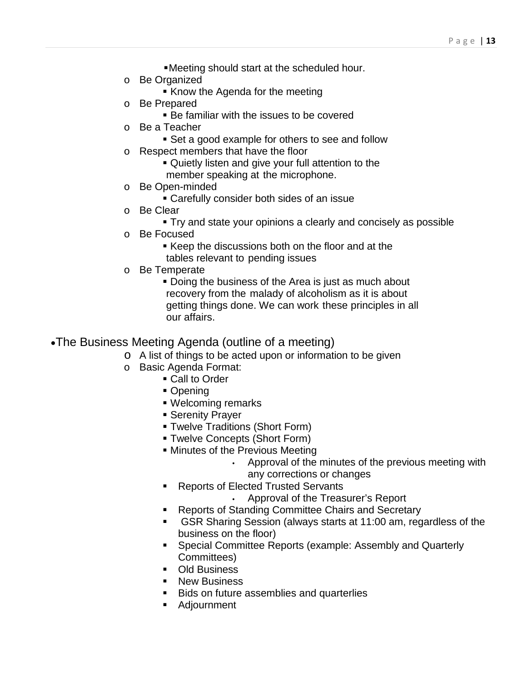- Meeting should start at the scheduled hour.
- o Be Organized
	- **Know the Agenda for the meeting**
- o Be Prepared
	- Be familiar with the issues to be covered
- o Be a Teacher
	- Set a good example for others to see and follow
- o Respect members that have the floor
	- Quietly listen and give your full attention to the member speaking at the microphone.
- o Be Open-minded
	- Carefully consider both sides of an issue
- o Be Clear
	- Try and state your opinions a clearly and concisely as possible
- o Be Focused
	- Keep the discussions both on the floor and at the tables relevant to pending issues
- o Be Temperate
	- Doing the business of the Area is just as much about recovery from the malady of alcoholism as it is about getting things done. We can work these principles in all our affairs.

#### •The Business Meeting Agenda (outline of a meeting)

- o A list of things to be acted upon or information to be given
- o Basic Agenda Format:
	- Call to Order
		- Opening
		- Welcoming remarks
		- **Serenity Prayer**
		- Twelve Traditions (Short Form)
		- Twelve Concepts (Short Form)
		- **Minutes of the Previous Meeting** 
			- Approval of the minutes of the previous meeting with any corrections or changes
		- **Reports of Elected Trusted Servants** 
			- Approval of the Treasurer's Report
		- **Reports of Standing Committee Chairs and Secretary**
		- GSR Sharing Session (always starts at 11:00 am, regardless of the business on the floor)
		- Special Committee Reports (example: Assembly and Quarterly Committees)
		- Old Business
		- **New Business**
		- **Bids on future assemblies and quarterlies**
	- **Adjournment**